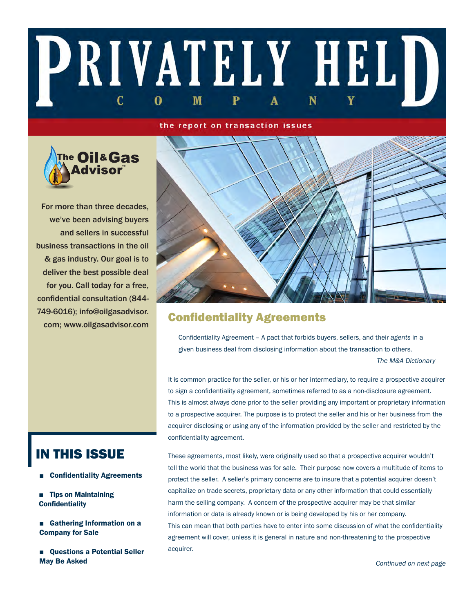# PRIVATELY HELD C M 0

#### the report on transaction issues



For more than three decades, we've been advising buyers and sellers in successful business transactions in the oil & gas industry. Our goal is to deliver the best possible deal for you. Call today for a free, confidential consultation (844- 749-6016); info@oilgasadvisor. com; www.oilgasadvisor.com



# Confidentiality Agreements

Confidentiality Agreement – A pact that forbids buyers, sellers, and their *agents* in a given business deal from disclosing information about the transaction to others. *The M&A Dictionary*

It is common practice for the seller, or his or her intermediary, to require a prospective acquirer to sign a confidentiality agreement, sometimes referred to as a non-disclosure agreement. This is almost always done prior to the seller providing any important or proprietary information to a prospective acquirer. The purpose is to protect the seller and his or her business from the acquirer disclosing or using any of the information provided by the seller and restricted by the confidentiality agreement.

IN THIS ISSUE

- Confidentiality Agreements
- Tips on Maintaining **Confidentiality**
- Gathering Information on a Company for Sale
- Ouestions a Potential Seller May Be Asked

These agreements, most likely, were originally used so that a prospective acquirer wouldn't tell the world that the business was for sale. Their purpose now covers a multitude of items to protect the seller. A seller's primary concerns are to insure that a potential acquirer doesn't capitalize on trade secrets, proprietary data or any other information that could essentially harm the selling company. A concern of the prospective acquirer may be that similar information or data is already known or is being developed by his or her company. This can mean that both parties have to enter into some discussion of what the confidentiality agreement will cover, unless it is general in nature and non-threatening to the prospective acquirer.

*Continued on next page*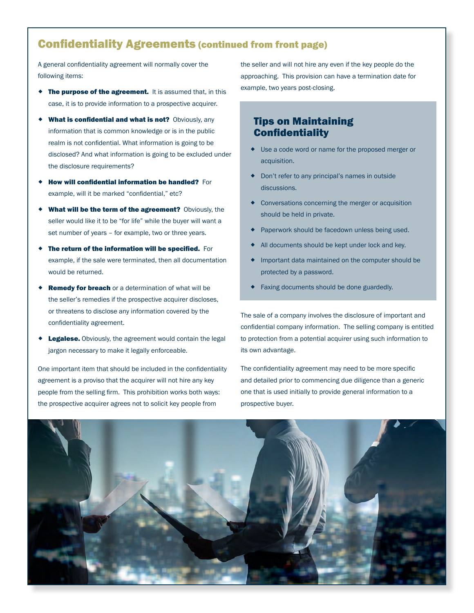# Confidentiality Agreements (continued from front page)

A general confidentiality agreement will normally cover the following items:

- **The purpose of the agreement.** It is assumed that, in this case, it is to provide information to a prospective acquirer.
- What is confidential and what is not? Obviously, any information that is common knowledge or is in the public realm is not confidential. What information is going to be disclosed? And what information is going to be excluded under the disclosure requirements?
- How will confidential information be handled? For example, will it be marked "confidential," etc?
- What will be the term of the agreement? Obviously, the seller would like it to be "for life" while the buyer will want a set number of years – for example, two or three years.
- The return of the information will be specified. For example, if the sale were terminated, then all documentation would be returned.
- Remedy for breach or a determination of what will be the seller's remedies if the prospective acquirer discloses, or threatens to disclose any information covered by the confidentiality agreement.
- Legalese. Obviously, the agreement would contain the legal jargon necessary to make it legally enforceable.

One important item that should be included in the confidentiality agreement is a proviso that the acquirer will not hire any key people from the selling firm. This prohibition works both ways: the prospective acquirer agrees not to solicit key people from

the seller and will not hire any even if the key people do the approaching. This provision can have a termination date for example, two years post-closing.

## Tips on Maintaining **Confidentiality**

- Use a code word or name for the proposed merger or acquisition.
- Don't refer to any principal's names in outside discussions.
- Conversations concerning the merger or acquisition should be held in private.
- Paperwork should be facedown unless being used.
- All documents should be kept under lock and key.
- Important data maintained on the computer should be protected by a password.
- **Faxing documents should be done guardedly.**

The sale of a company involves the disclosure of important and confidential company information. The selling company is entitled to protection from a potential acquirer using such information to its own advantage.

The confidentiality agreement may need to be more specific and detailed prior to commencing due diligence than a generic one that is used initially to provide general information to a prospective buyer.

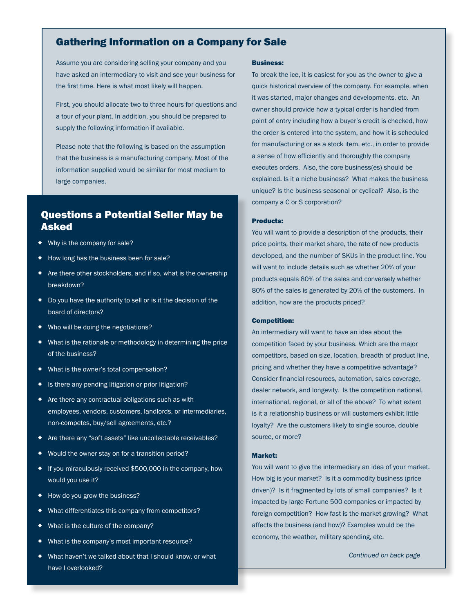## Gathering Information on a Company for Sale

Assume you are considering selling your company and you have asked an intermediary to visit and see your business for the first time. Here is what most likely will happen.

First, you should allocate two to three hours for questions and a tour of your plant. In addition, you should be prepared to supply the following information if available.

Please note that the following is based on the assumption that the business is a manufacturing company. Most of the information supplied would be similar for most medium to large companies.

# Questions a Potential Seller May be Asked

- Why is the company for sale?
- ◆ How long has the business been for sale?
- Are there other stockholders, and if so, what is the ownership breakdown?
- Do you have the authority to sell or is it the decision of the board of directors?
- Who will be doing the negotiations?
- What is the rationale or methodology in determining the price of the business?
- What is the owner's total compensation?
- ◆ Is there any pending litigation or prior litigation?
- Are there any contractual obligations such as with employees, vendors, customers, landlords, or intermediaries, non-competes, buy/sell agreements, etc.?
- ◆ Are there any "soft assets" like uncollectable receivables?
- ◆ Would the owner stay on for a transition period?
- If you miraculously received \$500,000 in the company, how would you use it?
- ◆ How do you grow the business?
- What differentiates this company from competitors?
- ◆ What is the culture of the company?
- What is the company's most important resource?
- What haven't we talked about that I should know, or what have I overlooked?

#### Business:

To break the ice, it is easiest for you as the owner to give a quick historical overview of the company. For example, when it was started, major changes and developments, etc. An owner should provide how a typical order is handled from point of entry including how a buyer's credit is checked, how the order is entered into the system, and how it is scheduled for manufacturing or as a stock item, etc., in order to provide a sense of how efficiently and thoroughly the company executes orders. Also, the core business(es) should be explained. Is it a niche business? What makes the business unique? Is the business seasonal or cyclical? Also, is the company a C or S corporation?

#### Products:

You will want to provide a description of the products, their price points, their market share, the rate of new products developed, and the number of SKUs in the product line. You will want to include details such as whether 20% of your products equals 80% of the sales and conversely whether 80% of the sales is generated by 20% of the customers. In addition, how are the products priced?

#### Competition:

Consider financial resources, automation, sales coverage, international, regional, or all of the above? To what extent loyalty? Are the customers likely to single source, double An intermediary will want to have an idea about the competition faced by your business. Which are the major competitors, based on size, location, breadth of product line, pricing and whether they have a competitive advantage? dealer network, and longevity. Is the competition national, is it a relationship business or will customers exhibit little source, or more?

#### Market:

You will want to give the intermediary an idea of your market. How big is your market? Is it a commodity business (price driven)? Is it fragmented by lots of small companies? Is it impacted by large Fortune 500 companies or impacted by foreign competition? How fast is the market growing? What affects the business (and how)? Examples would be the economy, the weather, military spending, etc.

*Continued on back page*